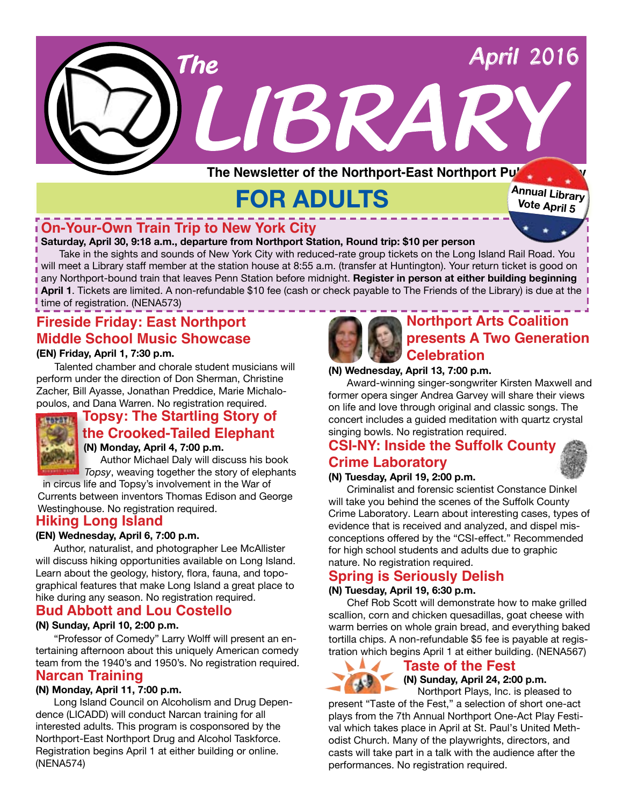

# **FOR ADULTS**

**Annual Library Vote April 5**

# **On-Your-Own Train Trip to New York City**

#### **Saturday, April 30, 9:18 a.m., departure from Northport Station, Round trip: \$10 per person**

Take in the sights and sounds of New York City with reduced-rate group tickets on the Long Island Rail Road. You will meet a Library staff member at the station house at 8:55 a.m. (transfer at Huntington). Your return ticket is good on any Northport-bound train that leaves Penn Station before midnight. **Register in person at either building beginning April 1**. Tickets are limited. A non-refundable \$10 fee (cash or check payable to The Friends of the Library) is due at the I time of registration. (NENA573)

# **Fireside Friday: East Northport Middle School Music Showcase (EN) Friday, April 1, 7:30 p.m.**

Talented chamber and chorale student musicians will perform under the direction of Don Sherman, Christine Zacher, Bill Ayasse, Jonathan Preddice, Marie Michalo-



# poulos, and Dana Warren. No registration required. **Topsy: The Startling Story of the Crooked-Tailed Elephant**

**(N) Monday, April 4, 7:00 p.m.**

 Author Michael Daly will discuss his book *Topsy*, weaving together the story of elephants in circus life and Topsy's involvement in the War of Currents between inventors Thomas Edison and George

Westinghouse. No registration required.

# **Hiking Long Island**

### **(EN) Wednesday, April 6, 7:00 p.m.**

Author, naturalist, and photographer Lee McAllister will discuss hiking opportunities available on Long Island. Learn about the geology, history, flora, fauna, and topographical features that make Long Island a great place to hike during any season. No registration required.

# **Bud Abbott and Lou Costello**

#### **(N) Sunday, April 10, 2:00 p.m.**

"Professor of Comedy" Larry Wolff will present an entertaining afternoon about this uniquely American comedy team from the 1940's and 1950's. No registration required. **Narcan Training**

#### **(N) Monday, April 11, 7:00 p.m.**

Long Island Council on Alcoholism and Drug Dependence (LICADD) will conduct Narcan training for all interested adults. This program is cosponsored by the Northport-East Northport Drug and Alcohol Taskforce. Registration begins April 1 at either building or online. (NENA574)



# **Northport Arts Coalition presents A Two Generation Celebration**

#### **(N) Wednesday, April 13, 7:00 p.m.**

Award-winning singer-songwriter Kirsten Maxwell and former opera singer Andrea Garvey will share their views on life and love through original and classic songs. The concert includes a guided meditation with quartz crystal singing bowls. No registration required.

# **CSI-NY: Inside the Suffolk County**

# **Crime Laboratory**

#### **(N) Tuesday, April 19, 2:00 p.m.**

Criminalist and forensic scientist Constance Dinkel will take you behind the scenes of the Suffolk County Crime Laboratory. Learn about interesting cases, types of evidence that is received and analyzed, and dispel misconceptions offered by the "CSI-effect." Recommended for high school students and adults due to graphic nature. No registration required.

# **Spring is Seriously Delish**

#### **(N) Tuesday, April 19, 6:30 p.m.**

Chef Rob Scott will demonstrate how to make grilled scallion, corn and chicken quesadillas, goat cheese with warm berries on whole grain bread, and everything baked tortilla chips. A non-refundable \$5 fee is payable at registration which begins April 1 at either building. (NENA567)

# A

# **Taste of the Fest**

**(N) Sunday, April 24, 2:00 p.m.**

 Northport Plays, Inc. is pleased to present "Taste of the Fest," a selection of short one-act plays from the 7th Annual Northport One-Act Play Festival which takes place in April at St. Paul's United Methodist Church. Many of the playwrights, directors, and casts will take part in a talk with the audience after the performances. No registration required.

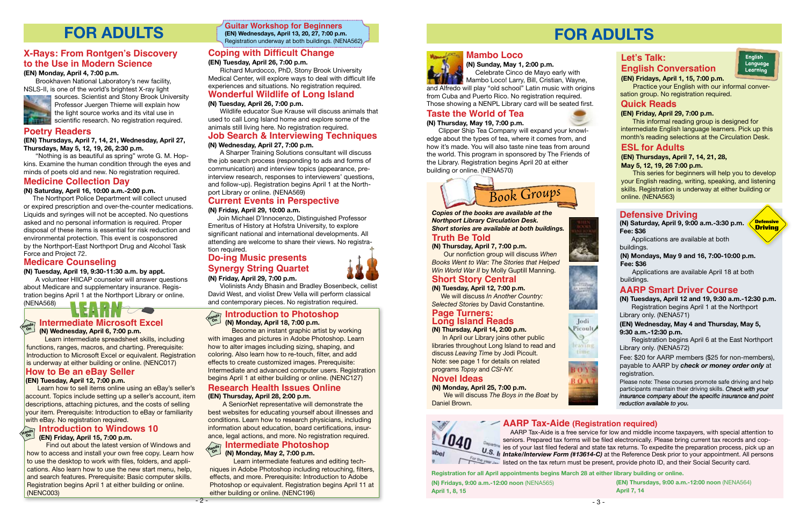# **Do-ing Music presents Synergy String Quartet (N) Friday, April 29, 7:00 p.m.**

Violinists Andy Bhasin and Bradley Bosenbeck, cellist David West, and violist Drew Vella will perform classical and contemporary pieces. No registration required.

# **Current Events in Perspective**

### **(N) Friday, April 29, 10:00 a.m.**

 Join Michael D'Innocenzo, Distinguished Professor Emeritus of History at Hofstra University, to explore significant national and international developments. All attending are welcome to share their views. No registration required.

#### **Medicare Counseling**

#### **(N) Tuesday, April 19, 9:30-11:30 a.m. by appt.**

A volunteer HIICAP counselor will answer questions about Medicare and supplementary insurance. Registration begins April 1 at the Northport Library or online. (NENA568)

### **Poetry Readers**

**(EN) Thursdays, April 7, 14, 21, Wednesday, April 27, Thursdays, May 5, 12, 19, 26, 2:30 p.m.**

"Nothing is as beautiful as spring" wrote G. M. Hopkins. Examine the human condition through the eyes and minds of poets old and new. No registration required.

# **Job Search & Interviewing Techniques**

## **(N) Wednesday, April 27, 7:00 p.m.**

A Sharper Training Solutions consultant will discuss the job search process (responding to ads and forms of communication) and interview topics (appearance, preinterview research, responses to interviewers' questions, and follow-up). Registration begins April 1 at the Northport Library or online. (NENA569)

# **Coping with Difficult Change**

**(EN) Tuesday, April 26, 7:00 p.m.**

Become an instant graphic artist by working with images and pictures in Adobe Photoshop. Learn how to alter images including sizing, shaping, and coloring. Also learn how to re-touch, filter, and add effects to create customized images. Prerequisite: Intermediate and advanced computer users. Registration **begins April 12 and EBay Seller** Building the University April 1 at either building or online. (NENC127) **How to Be an eBay Seller**<br>In the Begins April 12, 7:00 p.m.

Richard Murdocco, PhD, Stony Brook University Medical Center, will explore ways to deal with difficult life experiences and situations. No registration required.

# **X-Rays: From Rontgen's Discovery to the Use in Modern Science**

#### **(EN) Monday, April 4, 7:00 p.m.**

Learn how to sell items online using an eBay's seller's account. Topics include setting up a seller's account, item descriptions, attaching pictures, and the costs of selling your item. Prerequisite: Introduction to eBay or familiarity with eBay. No registration required.

Brookhaven National Laboratory's new facility, NSLS-II, is one of the world's brightest X-ray light



sources. Scientist and Stony Brook University Professor Juergen Thieme will explain how the light source works and its vital use in scientific research. No registration required.

# **Medicine Collection Day**

#### **(N) Saturday, April 16, 10:00 a.m.-2:00 p.m.**

 The Northport Police Department will collect unused or expired prescription and over-the-counter medications. Liquids and syringes will not be accepted. No questions asked and no personal information is required. Proper disposal of these items is essential for risk reduction and environmental protection. This event is cosponsored by the Northport-East Northport Drug and Alcohol Task Force and Project 72.

#### **Introduction to Windows 10 (EN) Friday, April 15, 7:00 p.m. On**

**AARP Tax-Aide (Registration required)** AARP Tax-Aide is a free service for low and middle income taxpayers, with special attention to seniors. Prepared tax forms will be filed electronically. Please bring current tax records and cop-Department is the property that is the state through the preparation process, pick up and the preparation process, pick up and the preparation process, pick up and the preparation process, pick up and the process. *U.S. In Intake/Interview Form (#13614-C)* at the Reference Desk prior to your appointment. All persons listed on the tax return must be present, provide photo ID, and their Social Security card.

# **Wonderful Wildlife of Long Island**

### **(N) Tuesday, April 26, 7:00 p.m.**

Wildlife educator Sue Krause will discuss animals that used to call Long Island home and explore some of the animals still living here. No registration required.

#### **Hands On Intermediate Microsoft Excel (N) Wednesday, April 6, 7:00 p.m.**

 Learn intermediate spreadsheet skills, including functions, ranges, macros, and charting. Prerequisite: Introduction to Microsoft Excel or equivalent. Registration is underway at either building or online. (NENC017)

#### **(EN) Tuesday, April 12, 7:00 p.m.**

#### **Research Health Issues Online (EN) Thursday, April 28, 2:00 p.m.**

#### **Introduction to Photoshop (N) Monday, April 18, 7:00 p.m. Hands On**

 A SeniorNet representative will demonstrate the best websites for educating yourself about illnesses and conditions. Learn how to research physicians, including information about education, board certifications, insurance, legal actions, and more. No registration required. ance, legal actions, and more. No registration required.

Mambo Loco! Larry, Bill, Cristian, Wayne, and Alfredo will play "old school" Latin music with origins from Cuba and Puerto Rico. No registration required. Those showing a NENPL Library card will be seated first.

 Learn intermediate features and editing techniques in Adobe Photoshop including retouching, filters, effects, and more. Prerequisite: Introduction to Adobe Photoshop or equivalent. Registration begins April 11 at either building or online. (NENC196)



**FOR ADULTS Guitar Workshop for Beginners (EN) Wednesdays, April 13, 20, 27, 7:00 p.m.** Registration underway at both buildings. (NENA562)

#### **Intermediate Photoshop (N) Monday, May 2, 7:00 p.m. Hands On**

 Find out about the latest version of Windows and how to access and install your own free copy. Learn how to use the desktop to work with files, folders, and applications. Also learn how to use the new start menu, help, and search features. Prerequisite: Basic computer skills. Registration begins April 1 at either building or online. (NENC003)

# **FOR ADULTS**

# **Let's Talk: English Conversation**

**(EN) Fridays, April 1, 15, 7:00 p.m.**



 Practice your English with our informal conversation group. No registration required.

## **Quick Reads**

#### **(EN) Friday, April 29, 7:00 p.m.**

This informal reading group is designed for intermediate English language learners. Pick up this month's reading selections at the Circulation Desk.

# **ESL for Adults**

#### **(EN) Thursdays, April 7, 14, 21, 28, May 5, 12, 19, 26 7:00 p.m.**

This series for beginners will help you to develop your English reading, writing, speaking, and listening skills. Registration is underway at either building or online. (NENA563)

**Registration for all April appointments begins March 28 at either library building or online.** 

**(EN) Thursdays, 9:00 a.m.-12:00 noon** (NENA564) **April 7, 14**

**(N) Fridays, 9:00 a.m.-12:00 noon** (NENA565) **April 1, 8, 15**



 $-2-$ 







# **Taste the World of Tea**

#### **(N) Thursday, May 19, 7:00 p.m.**

Clipper Ship Tea Company will expand your knowledge about the types of tea, where it comes from, and how it's made. You will also taste nine teas from around the world. This program in sponsored by The Friends of the Library. Registration begins April 20 at either building or online. (NENA570)

# **Truth Be Told**

**(N) Thursday, April 7, 7:00 p.m.**

Our nonfiction group will discuss *When Books Went to War: The Stories that Helped Win World War II* by Molly Guptill Manning.



# **Short Story Central**

**(N) Tuesday, April 12, 7:00 p.m.** We will discuss *In Another Country: Selected Stories* by David Constantine.

# **Page Turners: Long Island Reads**

# **(N) Thursday, April 14, 2:00 p.m.**

 In April our Library joins other public libraries throughout Long Island to read and discuss *Leaving Time* by Jodi Picoult. Note: see page 1 for details on related programs *Topsy* and *CSI-NY.* 

# **Novel Ideas**

**(N) Monday, April 25, 7:00 p.m.**

We will discuss *The Boys in the Boat* by Daniel Brown.



*Copies of the books are available at the Northport Library Circulation Desk. Short stories are available at both buildings.*

# **Defensive Driving**

#### **(EN) Wednesday, May 4 and Thursday, May 5, 9:30 a.m.-12:30 p.m.**

Registration begins April 6 at the East Northport Library only. (NENA572)

Please note: These courses promote safe driving and help participants maintain their driving skills. *Check with your insurance company about the specific insurance and point reduction available to you.*

#### **(N) Saturday, April 9, 9:00 a.m.-3:30 p.m. Fee: \$36**

Applications are available at both buildings.

**Defensive Driving**

# **AARP Smart Driver Course**

**(N) Tuesdays, April 12 and 19, 9:30 a.m.-12:30 p.m.** Registration begins April 1 at the Northport Library only. (NENA571)

Fee: \$20 for AARP members (\$25 for non-members), payable to AARP by *check or money order only* at registration.

#### **(N) Mondays, May 9 and 16, 7:00-10:00 p.m. Fee: \$36**

Applications are available April 18 at both buildings.

### **Mambo Loco**

**(N) Sunday, May 1, 2:00 p.m.** Celebrate Cinco de Mayo early with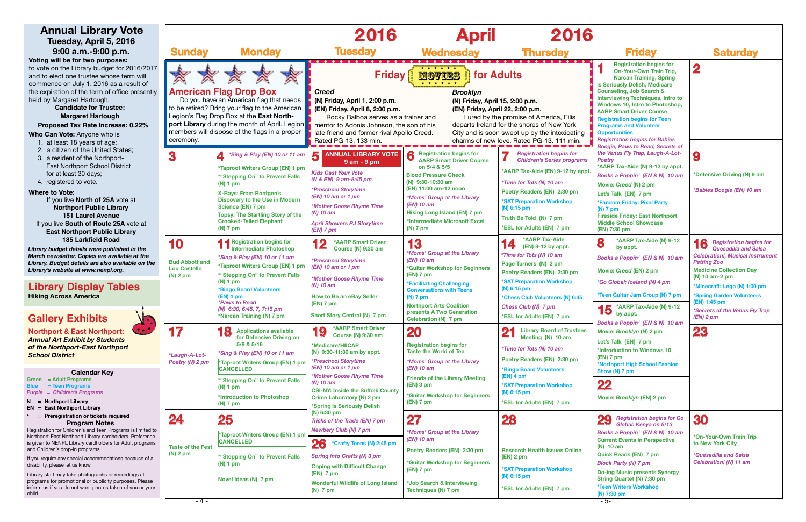

| <b>Friday</b>                                                                                                                                                                                                                                                                                                                                                                                                                                                                                                                                                                                                                                                                                                                                                                                             | <b>Saturday</b>                                                                                                                                                                                                                                                                                                  |
|-----------------------------------------------------------------------------------------------------------------------------------------------------------------------------------------------------------------------------------------------------------------------------------------------------------------------------------------------------------------------------------------------------------------------------------------------------------------------------------------------------------------------------------------------------------------------------------------------------------------------------------------------------------------------------------------------------------------------------------------------------------------------------------------------------------|------------------------------------------------------------------------------------------------------------------------------------------------------------------------------------------------------------------------------------------------------------------------------------------------------------------|
| <b>Registration begins for</b><br>1<br><b>On-Your-Own Train Trip,</b><br><b>Narcan Training, Spring</b><br>is Seriously Delish, Medicare<br><b>Counseling, Job Search &amp;</b><br><b>Interviewing Techniques, Intro to</b><br>Windows 10, Intro to Photoshop,<br><b>AARP Smart Driver Course</b><br><b>Registration begins for Teen</b><br><b>Programs and Volunteer</b><br><b>Opportunities</b><br><b>Registration begins for Babies</b><br><b>Boogie, Paws to Read, Secrets of</b><br>the Venus Fly Trap, Laugh-A-Lot-<br><b>Poetry</b><br>*AARP Tax-Aide (N) 9-12 by appt.<br>Books a Poppin' (EN & N) 10 am<br>Movie: Creed (N) 2 pm<br>Let's Talk (EN) 7 pm<br>*Fandom Friday: Pixel Party<br>$(N)$ 7 pm<br><b>Fireside Friday: East Northport</b><br><b>Middle School Showcase</b><br>(EN) 7:30 pm | 2<br>9<br>*Defensive Driving (N) 9 am<br>*Babies Boogie (EN) 10 am                                                                                                                                                                                                                                               |
| *AARP Tax-Aide (N) 9-12<br>8<br>by appt.<br>Books a Poppin' (EN & N) 10 am<br>Movie: Creed (EN) 2 pm<br>*Go Global: Iceland (N) 4 pm<br>*Teen Guitar Jam Group (N) 7 pm<br>*AARP Tax-Aide (N) 9-12<br>by appt.<br>Books a Poppin' (EN & N) 10 am<br>Movie: <i>Brooklyn</i> (N) 2 pm<br>Let's Talk (EN) 7 pm<br>*Introduction to Windows 10<br>$(EN)$ 7 pm<br>*Northport High School Fashion<br>Show (N) 7 pm<br>Movie: Brooklyn (EN) 2 pm                                                                                                                                                                                                                                                                                                                                                                 | 16 Registration begins for<br><b>Quesadilla and Salsa</b><br><b>Celebration!, Musical Instrument</b><br><b>Petting Zoo</b><br><b>Medicine Collection Day</b><br>(N) 10 am-2 pm<br>*Minecraft: Lego (N) 1:00 pm<br>*Spring Garden Volunteers<br>(EN) 1:45 pm<br>*Secrets of the Venus Fly Trap<br>(EN) 2 pm<br>2U |
| 29 Registration begins for Go<br>Global: Kenya on 5/13<br>Books a Poppin' (EN & N) 10 am<br><b>Current Events in Perspective</b><br>$(N)$ 10 am<br><b>Quick Reads (EN) 7 pm</b><br><b>Block Party (N) 7 pm</b><br><b>Do-ing Music presents Synergy</b><br>String Quartet (N) 7:30 pm<br><b>*Teen Writers Workshop</b><br>(N) 7:30 pm                                                                                                                                                                                                                                                                                                                                                                                                                                                                      | 30<br>*On-Your-Own Train Trip<br>to New York City<br>*Quesadilla and Salsa<br><b>Celebration!</b> (N) 11 am                                                                                                                                                                                                      |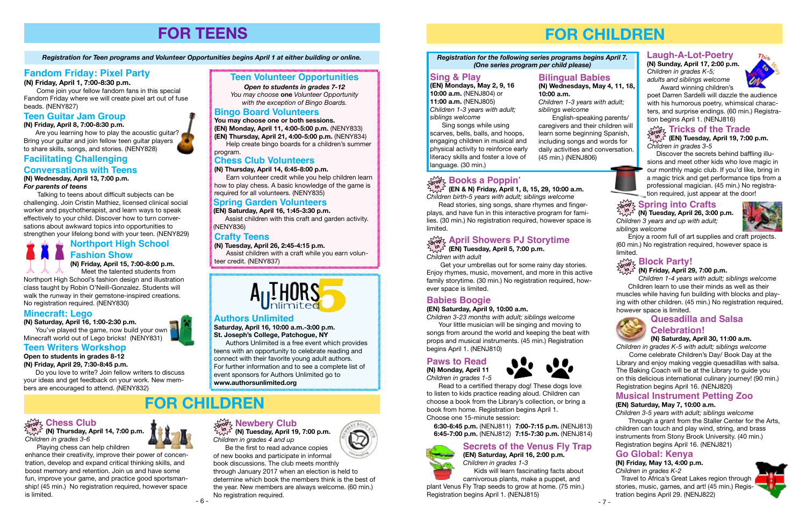





# **FOR TEENS**

*Registration for Teen programs and Volunteer Opportunities begins April 1 at either building or online.*

# **Fandom Friday: Pixel Party**

**(N) Friday, April 1, 7:00-8:30 p.m.**

Come join your fellow fandom fans in this special Fandom Friday where we will create pixel art out of fuse beads. (NENY827)

# **Teen Guitar Jam Group**

**(N) Friday, April 8, 7:00-8:30 p.m.**

Are you learning how to play the acoustic guitar? Bring your guitar and join fellow teen guitar players to share skills, songs, and stories. (NENY828)



# **FOR CHILDREN**

# **Teen Volunteer Opportunities**

*Open to students in grades 7-12*

*You may choose* **one** *Volunteer Opportunity with the exception of Bingo Boards.* 

# **Chess Club Volunteers**

**(N) Thursday, April 14, 6:45-8:00 p.m.**

Earn volunteer credit while you help children learn how to play chess. A basic knowledge of the game is required for all volunteers. (NENY835)

## **Bingo Board Volunteers**

**You may choose one or both sessions. (EN) Monday, April 11, 4:00-5:00 p.m.** (NENY833)

**(EN) Thursday, April 21, 4:00-5:00 p.m.** (NENY834)

Help create bingo boards for a children's summer program.

# **Crafty Teens**

**(N) Tuesday, April 26, 2:45-4:15 p.m.**

 $\sqrt[M]{\ }^{\alpha}$  (N) Tuesday, April 19, 7:00 p.m. *Children in grades 4 and up*

Assist children with a craft while you earn volunteer credit. (NENY837)



# **Facilitating Challenging**

# **Conversations with Teens**

**(N) Wednesday, April 13, 7:00 p.m.** *For parents of teens*

 Talking to teens about difficult subjects can be challenging. Join Cristin Mathiez, licensed clinical social worker and psychotherapist, and learn ways to speak effectively to your child. Discover how to turn conversations about awkward topics into opportunities to strengthen your lifelong bond with your teen. (NENY829)

You've played the game, now build your own Minecraft world out of Lego bricks! (NENY831)

## **Teen Writers Workshop**

# **Open to students in grades 8-12**

**(N) Friday, April 29, 7:30-8:45 p.m.**

Do you love to write? Join fellow writers to discuss your ideas and get feedback on your work. New members are encouraged to attend. (NENY832)

**(N) Thursday, April 14, 7:00 p.m.** *Children in grades 3-6*

Playing chess can help children enhance their creativity, improve their power of concentration, develop and expand critical thinking skills, and boost memory and retention. Join us and have some fun, improve your game, and practice good sportsmanship! (45 min.) No registration required, however space is limited.

Be the first to read advance copies of new books and participate in informal



#### **Chess Club drop in**

book discussions. The club meets monthly through January 2017 when an election is held to determine which book the members think is the best of the year. New members are always welcome. (60 min.) No registration required.





Discover the secrets behind baffling illusions and meet other kids who love magic in our monthly magic club. If you'd like, bring in a magic trick and get performance tips from a professional magician. (45 min.) No registration required, just appear at the door!

# $\begin{array}{l} \partial \widetilde{\mathsf{d}} \widetilde{\mathsf{d}} \widetilde{\mathsf{d}} \widetilde{\mathsf{d}} \widetilde{\mathsf{d}} \widetilde{\mathsf{d}} \widetilde{\mathsf{d}} \widetilde{\mathsf{d}} \widetilde{\mathsf{d}} \widetilde{\mathsf{d}} \widetilde{\mathsf{d}} \widetilde{\mathsf{d}} \widetilde{\mathsf{d}} \widetilde{\mathsf{d}} \widetilde{\mathsf{d}} \widetilde{\mathsf{d}} \widetilde{\mathsf{d}} \widetilde{\mathsf{d}} \widetilde{\mathsf{d}} \widetilde{\mathsf{d}} \widetilde{\mathsf{d}} \$

 $\bigvee^{\!\! (n\! \! \! \! \! \! \textrm{ \ \ \ }}_{\!\! \!\! \!\! \textrm{ \ \ \ }}\!\! \textrm{ \ \ \ \textrm{ \ \ \ \textrm{ \ \ \ \textrm{ \ \ \ \textrm{ \ \ \ \textrm{ \ \ \ \textrm{ \ \ \ \ \textrm{ \ \ \ \ \textrm{ \ \ \ \ \textrm{ \ \ \ \ \textrm{ \ \ \ \ \textrm{ \ \ \ \ \textrm{ \ \ \ \ \textrm{ \ \ \ \ \textrm{ \ \ \ \ \textrm{ \ \ \ \ \ \textrm{ \ \ \ \ \textrm{ \ \ \ \ \ \textrm{ \ \ \ \ \$ *Children birth-5 years with adult; siblings welcome*

# **Northport High School Fashion Show (N) Friday, April 15, 7:00-8:00 p.m.**

 Meet the talented students from Northport High School's fashion design and illustration class taught by Robin O'Neill-Gonzalez. Students will walk the runway in their gemstone-inspired creations. No registration required. (NENY830)

# **Minecraft: Lego**

**(N) Saturday, April 16, 1:00-2:30 p.m.**

# **Authors Unlimited**

**Saturday, April 16, 10:00 a.m.-3:00 p.m. St. Joseph's College, Patchogue, NY**

Authors Unlimited is a free event which provides teens with an opportunity to celebrate reading and connect with their favorite young adult authors. For further information and to see a complete list of event sponsors for Authors Unlimited go to **www.authorsunlimited.org**

### **Spring Garden Volunteers**

**(EN) Saturday, April 16, 1:45-3:30 p.m.**

Assist children with this craft and garden activity. (NENY836)

# **FOR CHILDREN**

#### **Bilingual Babies (N) Wednesdays, May 4, 11, 18,**

# **10:00 a.m.**

Come celebrate Children's Day/ Book Day at the Library and enjoy making veggie quesadillas with salsa. The Baking Coach will be at the Library to guide you on this delicious international culinary journey! (90 min.) Registration begins April 16. (NENJ820)

*Children 1-3 years with adult; siblings welcome* English-speaking parents/ caregivers and their children will learn some beginning Spanish, including songs and words for daily activities and conversation. (45 min.) (NENJ806)

# $\frac{1}{\alpha!}$ op Books a Poppin'

## **Laugh-A-Lot-Poetry**

**(N) Sunday, April 17, 2:00 p.m.** *Children in grades K-5; adults and siblings welcome* Award winning children's



poet Darren Sardelli will dazzle the audience with his humorous poetry, whimsical characters, and surprise endings. (60 min.) Registration begins April 1. (NENJ816)

**Sing & Play**

**(EN) Mondays, May 2, 9, 16 10:00 a.m.** (NENJ804) or **11:00 a.m.** (NENJ805) *Children 1-3 years with adult;* 

*siblings welcome*

Sing songs while using scarves, bells, balls, and hoops, engaging children in musical and physical activity to reinforce early



# **Secrets of the Venus Fly Trap**



**(EN) Saturday, April 16, 2:00 p.m.** *Children in grades 1-3*

Kids will learn fascinating facts about carnivorous plants, make a puppet, and

plant Venus Fly Trap seeds to grow at home. (75 min.) Registration begins April 1. (NENJ815)

#### *Registration for the following series programs begins April 7.*

*(One series program per child please)*

Read stories, sing songs, share rhymes and fingerplays, and have fun in this interactive program for families. (30 min.) No registration required, however space is limited.

**(EN) Tuesday, April 5, 7:00 p.m.** *Children with adult*

#### **April Showers PJ Storytime drop in**

 Get your umbrellas out for some rainy day stories. Enjoy rhymes, music, movement, and more in this active family storytime. (30 min.) No registration required, however space is limited.

# **Babies Boogie**

#### **(EN) Saturday, April 9, 10:00 a.m.**

*Children 3-23 months with adult; siblings welcome*

Your little musician will be singing and moving to songs from around the world and keeping the beat with props and musical instruments. (45 min.) Registration begins April 1. (NENJ810)

#### **Paws to Read (N) Monday, April 11** *Children in grades 1-5*



Read to a certified therapy dog! These dogs love to listen to kids practice reading aloud. Children can choose a book from the Library's collection, or bring a book from home. Registration begins April 1. Choose one 15-minute session:

#### **Tricks of the Trade (EN) Tuesday, April 19, 7:00 p.m.** *Children in grades 3-5* **drop in**

 **6:30-6:45 p.m.** (NENJ811) **7:00-7:15 p.m.** (NENJ813) **6:45-7:00 p.m.** (NENJ812) **7:15-7:30 p.m.** (NENJ814) *Children 3 years and up with adult; siblings welcome*



Enjoy a room full of art supplies and craft projects. (60 min.) No registration required, however space is limited.

### **(N) Friday, April 29, 7:00 p.m.**

*Children 1-4 years with adult; siblings welcome* Children learn to use their minds as well as their muscles while having fun building with blocks and playing with other children. (45 min.) No registration required, however space is limited.



# **Block Party!**

# **Quesadilla and Salsa**



# **Celebration!**

**(N) Saturday, April 30, 11:00 a.m.**

*Children in grades K-5 with adult; siblings welcome*

# **Go Global: Kenya**

#### **(N) Friday, May 13, 4:00 p.m.**

*Children in grades K-2*

 Travel to Africa's Great Lakes region through stories, music, games, and art! (45 min.) Registration begins April 29. (NENJ822)



### **Musical Instrument Petting Zoo (EN) Saturday, May 7, 10:00 a.m.**

*Children 3-5 years with adult; siblings welcome* Through a grant from the Staller Center for the Arts, children can touch and play wind, string, and brass instruments from Stony Brook University. (40 min.) Registration begins April 16. (NENJ821)